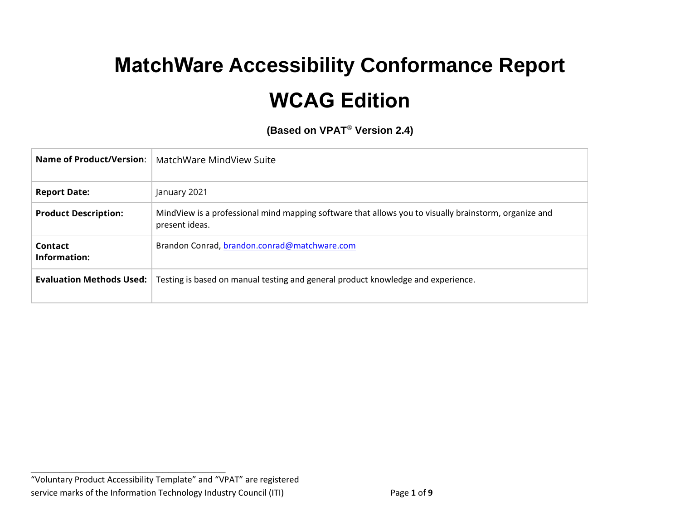# **MatchWare Accessibility Conformance Report WCAG Edition**

**(Based on VPAT**® **Version 2.4)**

| Name of Product/Version:        | MatchWare MindView Suite                                                                                                |
|---------------------------------|-------------------------------------------------------------------------------------------------------------------------|
| <b>Report Date:</b>             | January 2021                                                                                                            |
| <b>Product Description:</b>     | MindView is a professional mind mapping software that allows you to visually brainstorm, organize and<br>present ideas. |
| Contact<br>Information:         | Brandon Conrad, brandon.conrad@matchware.com                                                                            |
| <b>Evaluation Methods Used:</b> | Testing is based on manual testing and general product knowledge and experience.                                        |

**\_\_\_\_\_\_\_\_\_\_\_\_\_\_\_\_\_\_\_\_\_\_\_\_\_\_\_\_\_\_\_\_\_\_**

<sup>&</sup>quot;Voluntary Product Accessibility Template" and "VPAT" are registered service marks of the Information Technology Industry Council (ITI) Page 1 of 9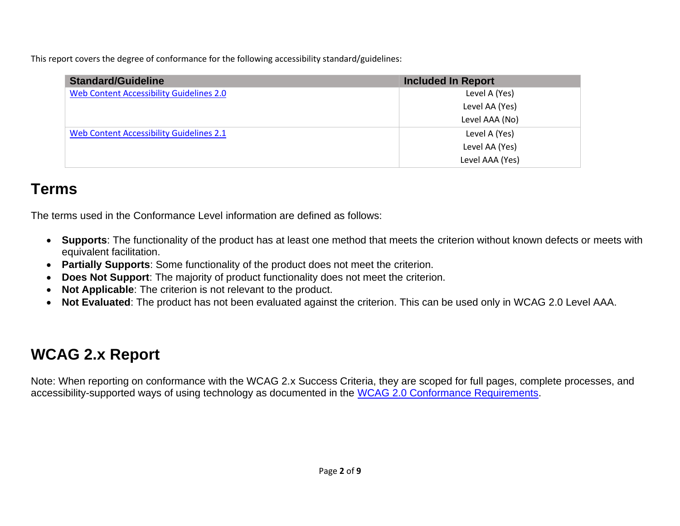This report covers the degree of conformance for the following accessibility standard/guidelines:

| <b>Standard/Guideline</b>                       | <b>Included In Report</b> |
|-------------------------------------------------|---------------------------|
| Web Content Accessibility Guidelines 2.0        | Level A (Yes)             |
|                                                 | Level AA (Yes)            |
|                                                 | Level AAA (No)            |
| <b>Web Content Accessibility Guidelines 2.1</b> | Level A (Yes)             |
|                                                 | Level AA (Yes)            |
|                                                 | Level AAA (Yes)           |

## **Terms**

The terms used in the Conformance Level information are defined as follows:

- **Supports**: The functionality of the product has at least one method that meets the criterion without known defects or meets with equivalent facilitation.
- **Partially Supports**: Some functionality of the product does not meet the criterion.
- **Does Not Support:** The majority of product functionality does not meet the criterion.
- **Not Applicable**: The criterion is not relevant to the product.
- **Not Evaluated**: The product has not been evaluated against the criterion. This can be used only in WCAG 2.0 Level AAA.

## **WCAG 2.x Report**

Note: When reporting on conformance with the WCAG 2.x Success Criteria, they are scoped for full pages, complete processes, and accessibility-supported ways of using technology as documented in the [WCAG 2.0 Conformance Requirements.](https://www.w3.org/TR/WCAG20/#conformance-reqs)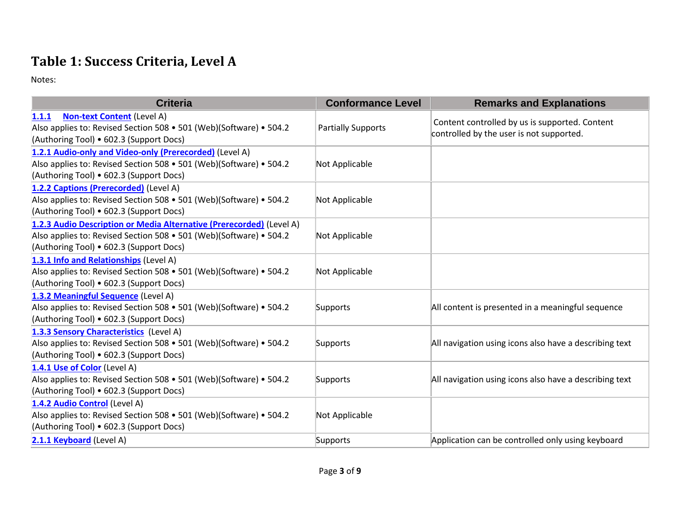#### **Table 1: Success Criteria, Level A**

Notes:

| <b>Criteria</b>                                                                                                                                                                       | <b>Conformance Level</b>  | <b>Remarks and Explanations</b>                                                            |
|---------------------------------------------------------------------------------------------------------------------------------------------------------------------------------------|---------------------------|--------------------------------------------------------------------------------------------|
| 1.1.1<br><b>Non-text Content (Level A)</b><br>Also applies to: Revised Section 508 • 501 (Web)(Software) • 504.2<br>(Authoring Tool) • 602.3 (Support Docs)                           | <b>Partially Supports</b> | Content controlled by us is supported. Content<br>controlled by the user is not supported. |
| 1.2.1 Audio-only and Video-only (Prerecorded) (Level A)<br>Also applies to: Revised Section 508 • 501 (Web)(Software) • 504.2<br>(Authoring Tool) • 602.3 (Support Docs)              | Not Applicable            |                                                                                            |
| 1.2.2 Captions (Prerecorded) (Level A)<br>Also applies to: Revised Section 508 • 501 (Web)(Software) • 504.2<br>(Authoring Tool) • 602.3 (Support Docs)                               | Not Applicable            |                                                                                            |
| 1.2.3 Audio Description or Media Alternative (Prerecorded) (Level A)<br>Also applies to: Revised Section 508 • 501 (Web)(Software) • 504.2<br>(Authoring Tool) • 602.3 (Support Docs) | Not Applicable            |                                                                                            |
| 1.3.1 Info and Relationships (Level A)<br>Also applies to: Revised Section 508 • 501 (Web)(Software) • 504.2<br>(Authoring Tool) • 602.3 (Support Docs)                               | Not Applicable            |                                                                                            |
| 1.3.2 Meaningful Sequence (Level A)<br>Also applies to: Revised Section 508 • 501 (Web)(Software) • 504.2<br>(Authoring Tool) • 602.3 (Support Docs)                                  | Supports                  | All content is presented in a meaningful sequence                                          |
| 1.3.3 Sensory Characteristics (Level A)<br>Also applies to: Revised Section 508 • 501 (Web)(Software) • 504.2<br>(Authoring Tool) • 602.3 (Support Docs)                              | Supports                  | All navigation using icons also have a describing text                                     |
| 1.4.1 Use of Color (Level A)<br>Also applies to: Revised Section 508 • 501 (Web)(Software) • 504.2<br>(Authoring Tool) • 602.3 (Support Docs)                                         | Supports                  | All navigation using icons also have a describing text                                     |
| 1.4.2 Audio Control (Level A)<br>Also applies to: Revised Section 508 • 501 (Web)(Software) • 504.2<br>(Authoring Tool) • 602.3 (Support Docs)                                        | Not Applicable            |                                                                                            |
| 2.1.1 Keyboard (Level A)                                                                                                                                                              | Supports                  | Application can be controlled only using keyboard                                          |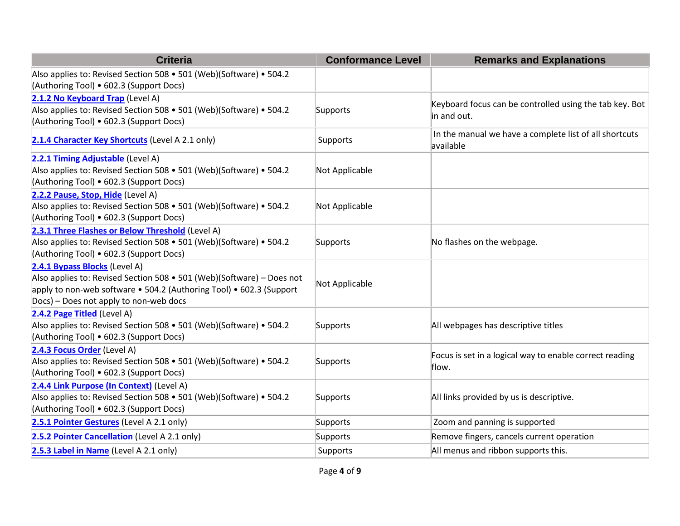| <b>Criteria</b>                                                                                                                                                                                                         | <b>Conformance Level</b> | <b>Remarks and Explanations</b>                                        |
|-------------------------------------------------------------------------------------------------------------------------------------------------------------------------------------------------------------------------|--------------------------|------------------------------------------------------------------------|
| Also applies to: Revised Section 508 • 501 (Web)(Software) • 504.2<br>(Authoring Tool) • 602.3 (Support Docs)                                                                                                           |                          |                                                                        |
| 2.1.2 No Keyboard Trap (Level A)<br>Also applies to: Revised Section 508 • 501 (Web)(Software) • 504.2<br>(Authoring Tool) • 602.3 (Support Docs)                                                                       | Supports                 | Keyboard focus can be controlled using the tab key. Bot<br>in and out. |
| 2.1.4 Character Key Shortcuts (Level A 2.1 only)                                                                                                                                                                        | Supports                 | In the manual we have a complete list of all shortcuts<br>available    |
| 2.2.1 Timing Adjustable (Level A)<br>Also applies to: Revised Section 508 • 501 (Web)(Software) • 504.2<br>(Authoring Tool) • 602.3 (Support Docs)                                                                      | Not Applicable           |                                                                        |
| 2.2.2 Pause, Stop, Hide (Level A)<br>Also applies to: Revised Section 508 • 501 (Web)(Software) • 504.2<br>(Authoring Tool) • 602.3 (Support Docs)                                                                      | Not Applicable           |                                                                        |
| 2.3.1 Three Flashes or Below Threshold (Level A)<br>Also applies to: Revised Section 508 • 501 (Web)(Software) • 504.2<br>(Authoring Tool) • 602.3 (Support Docs)                                                       | Supports                 | No flashes on the webpage.                                             |
| 2.4.1 Bypass Blocks (Level A)<br>Also applies to: Revised Section 508 • 501 (Web)(Software) – Does not<br>apply to non-web software • 504.2 (Authoring Tool) • 602.3 (Support<br>Docs) - Does not apply to non-web docs | Not Applicable           |                                                                        |
| 2.4.2 Page Titled (Level A)<br>Also applies to: Revised Section 508 • 501 (Web)(Software) • 504.2<br>(Authoring Tool) • 602.3 (Support Docs)                                                                            | Supports                 | All webpages has descriptive titles                                    |
| 2.4.3 Focus Order (Level A)<br>Also applies to: Revised Section 508 • 501 (Web)(Software) • 504.2<br>(Authoring Tool) • 602.3 (Support Docs)                                                                            | Supports                 | Focus is set in a logical way to enable correct reading<br>flow.       |
| 2.4.4 Link Purpose (In Context) (Level A)<br>Also applies to: Revised Section 508 • 501 (Web)(Software) • 504.2<br>(Authoring Tool) • 602.3 (Support Docs)                                                              | Supports                 | All links provided by us is descriptive.                               |
| 2.5.1 Pointer Gestures (Level A 2.1 only)                                                                                                                                                                               | Supports                 | Zoom and panning is supported                                          |
| 2.5.2 Pointer Cancellation (Level A 2.1 only)                                                                                                                                                                           | Supports                 | Remove fingers, cancels current operation                              |
| 2.5.3 Label in Name (Level A 2.1 only)                                                                                                                                                                                  | Supports                 | All menus and ribbon supports this.                                    |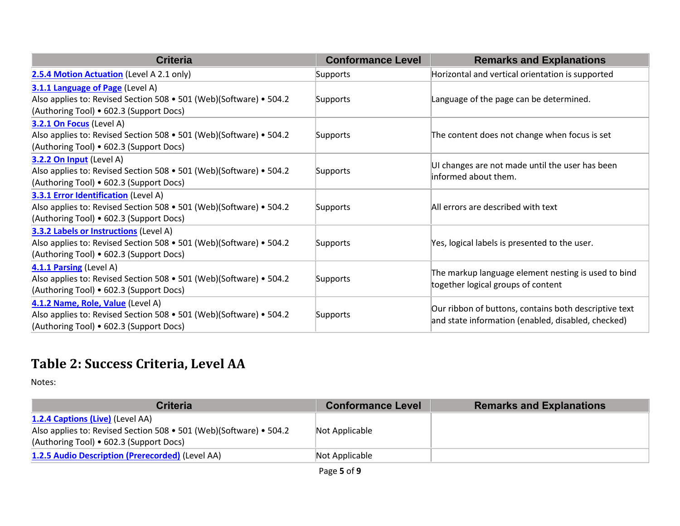| <b>Criteria</b>                                                                                                                                         | <b>Conformance Level</b> | <b>Remarks and Explanations</b>                                                                             |
|---------------------------------------------------------------------------------------------------------------------------------------------------------|--------------------------|-------------------------------------------------------------------------------------------------------------|
| 2.5.4 Motion Actuation (Level A 2.1 only)                                                                                                               | Supports                 | Horizontal and vertical orientation is supported                                                            |
| 3.1.1 Language of Page (Level A)<br>Also applies to: Revised Section 508 • 501 (Web)(Software) • 504.2<br>(Authoring Tool) • 602.3 (Support Docs)       | Supports                 | Language of the page can be determined.                                                                     |
| 3.2.1 On Focus (Level A)<br>Also applies to: Revised Section 508 • 501 (Web)(Software) • 504.2<br>(Authoring Tool) • 602.3 (Support Docs)               | Supports                 | The content does not change when focus is set                                                               |
| 3.2.2 On Input (Level A)<br>Also applies to: Revised Section 508 • 501 (Web)(Software) • 504.2<br>(Authoring Tool) • 602.3 (Support Docs)               | Supports                 | UI changes are not made until the user has been<br>informed about them.                                     |
| 3.3.1 Error Identification (Level A)<br>Also applies to: Revised Section 508 • 501 (Web)(Software) • 504.2<br>(Authoring Tool) • 602.3 (Support Docs)   | Supports                 | All errors are described with text                                                                          |
| 3.3.2 Labels or Instructions (Level A)<br>Also applies to: Revised Section 508 • 501 (Web)(Software) • 504.2<br>(Authoring Tool) • 602.3 (Support Docs) | Supports                 | Yes, logical labels is presented to the user.                                                               |
| 4.1.1 Parsing (Level A)<br>Also applies to: Revised Section 508 • 501 (Web)(Software) • 504.2<br>(Authoring Tool) • 602.3 (Support Docs)                | Supports                 | The markup language element nesting is used to bind<br>together logical groups of content                   |
| 4.1.2 Name, Role, Value (Level A)<br>Also applies to: Revised Section 508 • 501 (Web)(Software) • 504.2<br>(Authoring Tool) • 602.3 (Support Docs)      | Supports                 | Our ribbon of buttons, contains both descriptive text<br>and state information (enabled, disabled, checked) |

### **Table 2: Success Criteria, Level AA**

Notes:

| <b>Criteria</b>                                                    | <b>Conformance Level</b> | <b>Remarks and Explanations</b> |
|--------------------------------------------------------------------|--------------------------|---------------------------------|
| 1.2.4 Captions (Live) (Level AA)                                   |                          |                                 |
| Also applies to: Revised Section 508 • 501 (Web)(Software) • 504.2 | Not Applicable           |                                 |
| (Authoring Tool) • 602.3 (Support Docs)                            |                          |                                 |
| 1.2.5 Audio Description (Prerecorded) (Level AA)                   | Not Applicable           |                                 |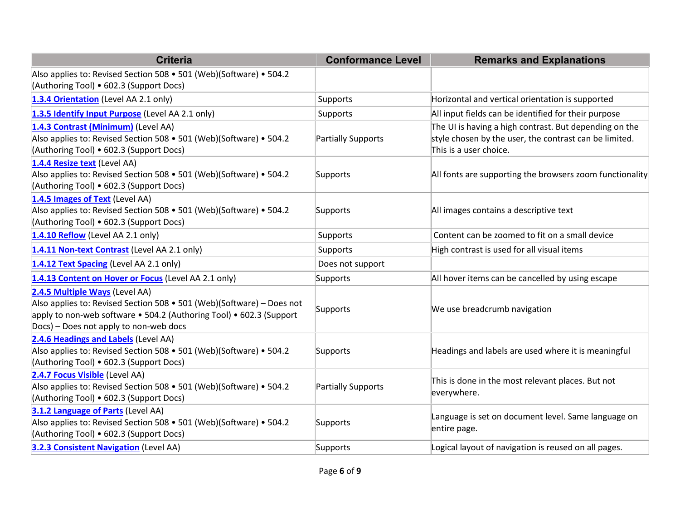| <b>Criteria</b>                                                                                                                                                                                                          | <b>Conformance Level</b> | <b>Remarks and Explanations</b>                                                                                                            |
|--------------------------------------------------------------------------------------------------------------------------------------------------------------------------------------------------------------------------|--------------------------|--------------------------------------------------------------------------------------------------------------------------------------------|
| Also applies to: Revised Section 508 • 501 (Web)(Software) • 504.2<br>(Authoring Tool) • 602.3 (Support Docs)                                                                                                            |                          |                                                                                                                                            |
| 1.3.4 Orientation (Level AA 2.1 only)                                                                                                                                                                                    | Supports                 | Horizontal and vertical orientation is supported                                                                                           |
| 1.3.5 Identify Input Purpose (Level AA 2.1 only)                                                                                                                                                                         | Supports                 | All input fields can be identified for their purpose                                                                                       |
| 1.4.3 Contrast (Minimum) (Level AA)<br>Also applies to: Revised Section 508 • 501 (Web)(Software) • 504.2<br>(Authoring Tool) • 602.3 (Support Docs)                                                                     | Partially Supports       | The UI is having a high contrast. But depending on the<br>style chosen by the user, the contrast can be limited.<br>This is a user choice. |
| 1.4.4 Resize text (Level AA)<br>Also applies to: Revised Section 508 • 501 (Web)(Software) • 504.2<br>(Authoring Tool) • 602.3 (Support Docs)                                                                            | Supports                 | All fonts are supporting the browsers zoom functionality                                                                                   |
| 1.4.5 Images of Text (Level AA)<br>Also applies to: Revised Section 508 • 501 (Web)(Software) • 504.2<br>(Authoring Tool) • 602.3 (Support Docs)                                                                         | Supports                 | All images contains a descriptive text                                                                                                     |
| 1.4.10 Reflow (Level AA 2.1 only)                                                                                                                                                                                        | Supports                 | Content can be zoomed to fit on a small device                                                                                             |
| 1.4.11 Non-text Contrast (Level AA 2.1 only)                                                                                                                                                                             | Supports                 | High contrast is used for all visual items                                                                                                 |
| 1.4.12 Text Spacing (Level AA 2.1 only)                                                                                                                                                                                  | Does not support         |                                                                                                                                            |
| 1.4.13 Content on Hover or Focus (Level AA 2.1 only)                                                                                                                                                                     | Supports                 | All hover items can be cancelled by using escape                                                                                           |
| 2.4.5 Multiple Ways (Level AA)<br>Also applies to: Revised Section 508 • 501 (Web)(Software) – Does not<br>apply to non-web software • 504.2 (Authoring Tool) • 602.3 (Support<br>Docs) - Does not apply to non-web docs | Supports                 | We use breadcrumb navigation                                                                                                               |
| 2.4.6 Headings and Labels (Level AA)<br>Also applies to: Revised Section 508 • 501 (Web)(Software) • 504.2<br>(Authoring Tool) • 602.3 (Support Docs)                                                                    | Supports                 | Headings and labels are used where it is meaningful                                                                                        |
| 2.4.7 Focus Visible (Level AA)<br>Also applies to: Revised Section 508 • 501 (Web)(Software) • 504.2<br>(Authoring Tool) • 602.3 (Support Docs)                                                                          | Partially Supports       | This is done in the most relevant places. But not<br>everywhere.                                                                           |
| 3.1.2 Language of Parts (Level AA)<br>Also applies to: Revised Section 508 • 501 (Web)(Software) • 504.2<br>(Authoring Tool) • 602.3 (Support Docs)                                                                      | Supports                 | Language is set on document level. Same language on<br>entire page.                                                                        |
| 3.2.3 Consistent Navigation (Level AA)                                                                                                                                                                                   | Supports                 | Logical layout of navigation is reused on all pages.                                                                                       |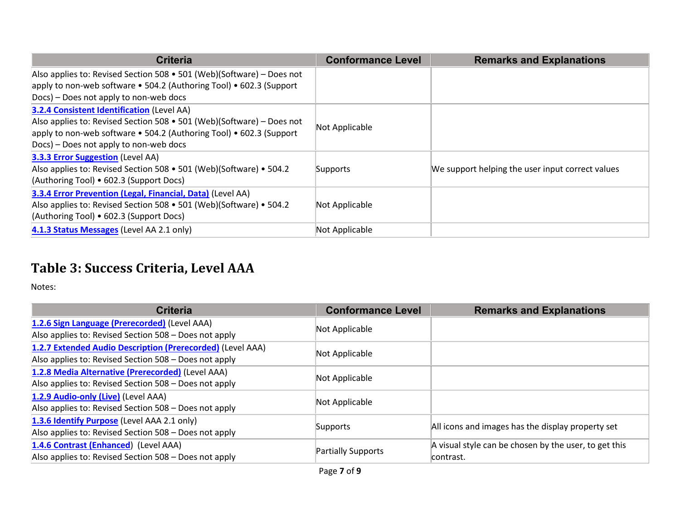| <b>Criteria</b>                                                       | <b>Conformance Level</b> | <b>Remarks and Explanations</b>                  |
|-----------------------------------------------------------------------|--------------------------|--------------------------------------------------|
| Also applies to: Revised Section 508 • 501 (Web)(Software) – Does not |                          |                                                  |
| apply to non-web software • 504.2 (Authoring Tool) • 602.3 (Support   |                          |                                                  |
| Docs) – Does not apply to non-web docs                                |                          |                                                  |
| <b>3.2.4 Consistent Identification (Level AA)</b>                     |                          |                                                  |
| Also applies to: Revised Section 508 • 501 (Web)(Software) – Does not | Not Applicable           |                                                  |
| apply to non-web software • 504.2 (Authoring Tool) • 602.3 (Support   |                          |                                                  |
| Docs) – Does not apply to non-web docs                                |                          |                                                  |
| 3.3.3 Error Suggestion (Level AA)                                     |                          |                                                  |
| Also applies to: Revised Section 508 • 501 (Web)(Software) • 504.2    | Supports                 | We support helping the user input correct values |
| (Authoring Tool) • 602.3 (Support Docs)                               |                          |                                                  |
| 3.3.4 Error Prevention (Legal, Financial, Data) (Level AA)            |                          |                                                  |
| Also applies to: Revised Section 508 • 501 (Web)(Software) • 504.2    | Not Applicable           |                                                  |
| (Authoring Tool) • 602.3 (Support Docs)                               |                          |                                                  |
| 4.1.3 Status Messages (Level AA 2.1 only)                             | Not Applicable           |                                                  |

#### **Table 3: Success Criteria, Level AAA**

Notes:

| <b>Criteria</b>                                            | <b>Conformance Level</b> | <b>Remarks and Explanations</b>                       |
|------------------------------------------------------------|--------------------------|-------------------------------------------------------|
| 1.2.6 Sign Language (Prerecorded) (Level AAA)              |                          |                                                       |
| Also applies to: Revised Section 508 - Does not apply      | Not Applicable           |                                                       |
| 1.2.7 Extended Audio Description (Prerecorded) (Level AAA) | Not Applicable           |                                                       |
| Also applies to: Revised Section 508 - Does not apply      |                          |                                                       |
| 1.2.8 Media Alternative (Prerecorded) (Level AAA)          | Not Applicable           |                                                       |
| Also applies to: Revised Section 508 - Does not apply      |                          |                                                       |
| 1.2.9 Audio-only (Live) (Level AAA)                        | Not Applicable           |                                                       |
| Also applies to: Revised Section 508 - Does not apply      |                          |                                                       |
| 1.3.6 Identify Purpose (Level AAA 2.1 only)                | Supports                 | All icons and images has the display property set     |
| Also applies to: Revised Section 508 - Does not apply      |                          |                                                       |
| 1.4.6 Contrast (Enhanced) (Level AAA)                      | Partially Supports       | A visual style can be chosen by the user, to get this |
| Also applies to: Revised Section 508 - Does not apply      |                          | contrast.                                             |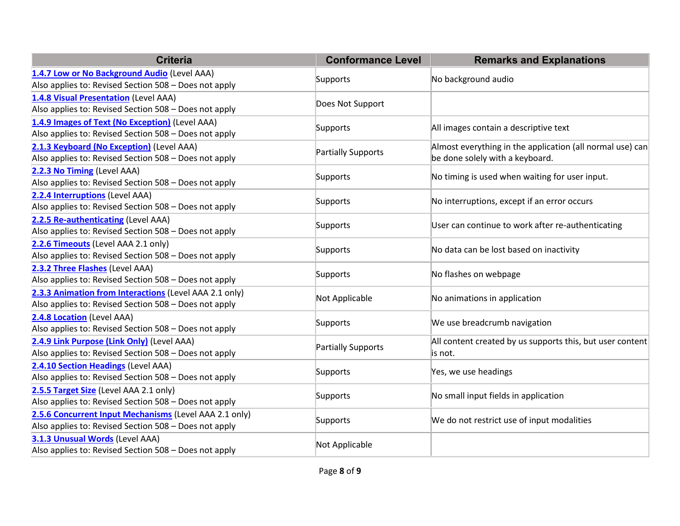| <b>Criteria</b>                                                                                                 | <b>Conformance Level</b> | <b>Remarks and Explanations</b>                                                              |
|-----------------------------------------------------------------------------------------------------------------|--------------------------|----------------------------------------------------------------------------------------------|
| 1.4.7 Low or No Background Audio (Level AAA)<br>Also applies to: Revised Section 508 - Does not apply           | Supports                 | No background audio                                                                          |
| 1.4.8 Visual Presentation (Level AAA)<br>Also applies to: Revised Section 508 - Does not apply                  | Does Not Support         |                                                                                              |
| 1.4.9 Images of Text (No Exception) (Level AAA)<br>Also applies to: Revised Section 508 - Does not apply        | Supports                 | All images contain a descriptive text                                                        |
| 2.1.3 Keyboard (No Exception) (Level AAA)<br>Also applies to: Revised Section 508 - Does not apply              | Partially Supports       | Almost everything in the application (all normal use) can<br>be done solely with a keyboard. |
| 2.2.3 No Timing (Level AAA)<br>Also applies to: Revised Section 508 - Does not apply                            | Supports                 | No timing is used when waiting for user input.                                               |
| 2.2.4 Interruptions (Level AAA)<br>Also applies to: Revised Section 508 - Does not apply                        | Supports                 | No interruptions, except if an error occurs                                                  |
| 2.2.5 Re-authenticating (Level AAA)<br>Also applies to: Revised Section 508 - Does not apply                    | Supports                 | User can continue to work after re-authenticating                                            |
| 2.2.6 Timeouts (Level AAA 2.1 only)<br>Also applies to: Revised Section 508 - Does not apply                    | Supports                 | No data can be lost based on inactivity                                                      |
| 2.3.2 Three Flashes (Level AAA)<br>Also applies to: Revised Section 508 - Does not apply                        | Supports                 | No flashes on webpage                                                                        |
| 2.3.3 Animation from Interactions (Level AAA 2.1 only)<br>Also applies to: Revised Section 508 - Does not apply | Not Applicable           | No animations in application                                                                 |
| 2.4.8 Location (Level AAA)<br>Also applies to: Revised Section 508 - Does not apply                             | Supports                 | We use breadcrumb navigation                                                                 |
| 2.4.9 Link Purpose (Link Only) (Level AAA)<br>Also applies to: Revised Section 508 - Does not apply             | Partially Supports       | All content created by us supports this, but user content<br>is not.                         |
| 2.4.10 Section Headings (Level AAA)<br>Also applies to: Revised Section 508 - Does not apply                    | Supports                 | Yes, we use headings                                                                         |
| 2.5.5 Target Size (Level AAA 2.1 only)<br>Also applies to: Revised Section 508 - Does not apply                 | Supports                 | No small input fields in application                                                         |
| 2.5.6 Concurrent Input Mechanisms (Level AAA 2.1 only)<br>Also applies to: Revised Section 508 - Does not apply | Supports                 | We do not restrict use of input modalities                                                   |
| 3.1.3 Unusual Words (Level AAA)<br>Also applies to: Revised Section 508 - Does not apply                        | Not Applicable           |                                                                                              |